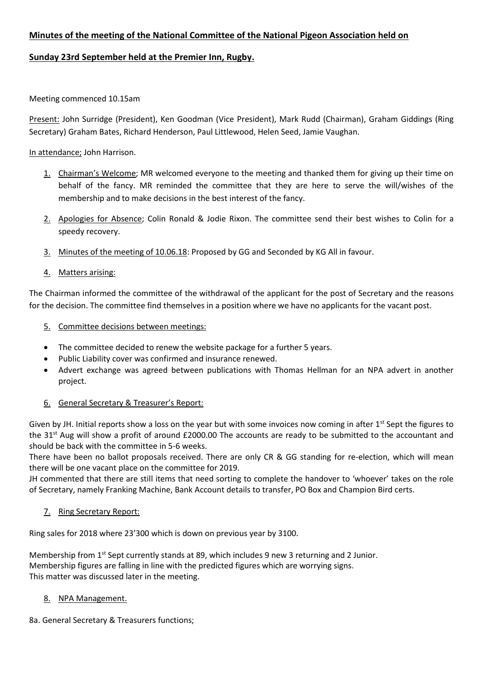# **Minutes of the meeting of the National Committee of the National Pigeon Association held on**

## **Sunday 23rd September held at the Premier Inn, Rugby.**

## Meeting commenced 10.15am

Present: John Surridge (President), Ken Goodman (Vice President), Mark Rudd (Chairman), Graham Giddings (Ring Secretary) Graham Bates, Richard Henderson, Paul Littlewood, Helen Seed, Jamie Vaughan.

## In attendance; John Harrison.

- 1. Chairman's Welcome; MR welcomed everyone to the meeting and thanked them for giving up their time on behalf of the fancy. MR reminded the committee that they are here to serve the will/wishes of the membership and to make decisions in the best interest of the fancy.
- 2. Apologies for Absence; Colin Ronald & Jodie Rixon. The committee send their best wishes to Colin for a speedy recovery.
- 3. Minutes of the meeting of 10.06.18: Proposed by GG and Seconded by KG All in favour.
- 4. Matters arising:

The Chairman informed the committee of the withdrawal of the applicant for the post of Secretary and the reasons for the decision. The committee find themselves in a position where we have no applicants for the vacant post.

- 5. Committee decisions between meetings:
- The committee decided to renew the website package for a further 5 years.
- Public Liability cover was confirmed and insurance renewed.
- Advert exchange was agreed between publications with Thomas Hellman for an NPA advert in another project.

## 6. General Secretary & Treasurer's Report:

Given by JH. Initial reports show a loss on the year but with some invoices now coming in after  $1<sup>st</sup>$  Sept the figures to the 31<sup>st</sup> Aug will show a profit of around £2000.00 The accounts are ready to be submitted to the accountant and should be back with the committee in 5-6 weeks.

There have been no ballot proposals received. There are only CR & GG standing for re-election, which will mean there will be one vacant place on the committee for 2019.

JH commented that there are still items that need sorting to complete the handover to 'whoever' takes on the role of Secretary, namely Franking Machine, Bank Account details to transfer, PO Box and Champion Bird certs.

7. Ring Secretary Report:

Ring sales for 2018 where 23'300 which is down on previous year by 3100.

Membership from 1<sup>st</sup> Sept currently stands at 89, which includes 9 new 3 returning and 2 Junior. Membership figures are falling in line with the predicted figures which are worrying signs. This matter was discussed later in the meeting.

8. NPA Management.

8a. General Secretary & Treasurers functions;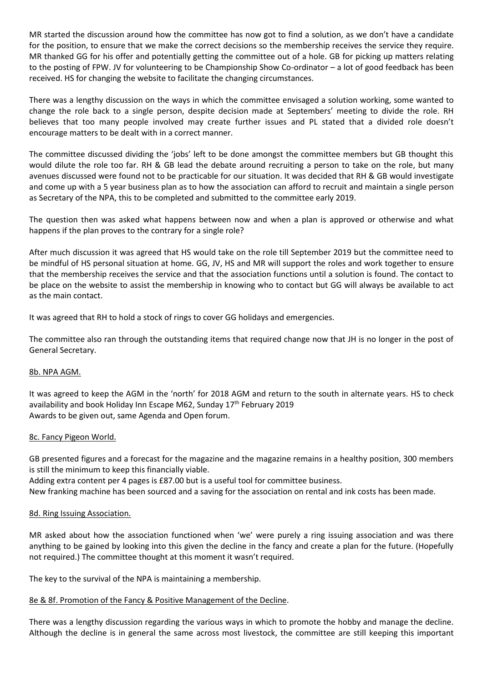MR started the discussion around how the committee has now got to find a solution, as we don't have a candidate for the position, to ensure that we make the correct decisions so the membership receives the service they require. MR thanked GG for his offer and potentially getting the committee out of a hole. GB for picking up matters relating to the posting of FPW. JV for volunteering to be Championship Show Co-ordinator – a lot of good feedback has been received. HS for changing the website to facilitate the changing circumstances.

There was a lengthy discussion on the ways in which the committee envisaged a solution working, some wanted to change the role back to a single person, despite decision made at Septembers' meeting to divide the role. RH believes that too many people involved may create further issues and PL stated that a divided role doesn't encourage matters to be dealt with in a correct manner.

The committee discussed dividing the 'jobs' left to be done amongst the committee members but GB thought this would dilute the role too far. RH & GB lead the debate around recruiting a person to take on the role, but many avenues discussed were found not to be practicable for our situation. It was decided that RH & GB would investigate and come up with a 5 year business plan as to how the association can afford to recruit and maintain a single person as Secretary of the NPA, this to be completed and submitted to the committee early 2019.

The question then was asked what happens between now and when a plan is approved or otherwise and what happens if the plan proves to the contrary for a single role?

After much discussion it was agreed that HS would take on the role till September 2019 but the committee need to be mindful of HS personal situation at home. GG, JV, HS and MR will support the roles and work together to ensure that the membership receives the service and that the association functions until a solution is found. The contact to be place on the website to assist the membership in knowing who to contact but GG will always be available to act as the main contact.

It was agreed that RH to hold a stock of rings to cover GG holidays and emergencies.

The committee also ran through the outstanding items that required change now that JH is no longer in the post of General Secretary.

## 8b. NPA AGM.

It was agreed to keep the AGM in the 'north' for 2018 AGM and return to the south in alternate years. HS to check availability and book Holiday Inn Escape M62, Sunday 17<sup>th</sup> February 2019 Awards to be given out, same Agenda and Open forum.

## 8c. Fancy Pigeon World.

GB presented figures and a forecast for the magazine and the magazine remains in a healthy position, 300 members is still the minimum to keep this financially viable.

Adding extra content per 4 pages is £87.00 but is a useful tool for committee business.

New franking machine has been sourced and a saving for the association on rental and ink costs has been made.

## 8d. Ring Issuing Association.

MR asked about how the association functioned when 'we' were purely a ring issuing association and was there anything to be gained by looking into this given the decline in the fancy and create a plan for the future. (Hopefully not required.) The committee thought at this moment it wasn't required.

The key to the survival of the NPA is maintaining a membership.

# 8e & 8f. Promotion of the Fancy & Positive Management of the Decline.

There was a lengthy discussion regarding the various ways in which to promote the hobby and manage the decline. Although the decline is in general the same across most livestock, the committee are still keeping this important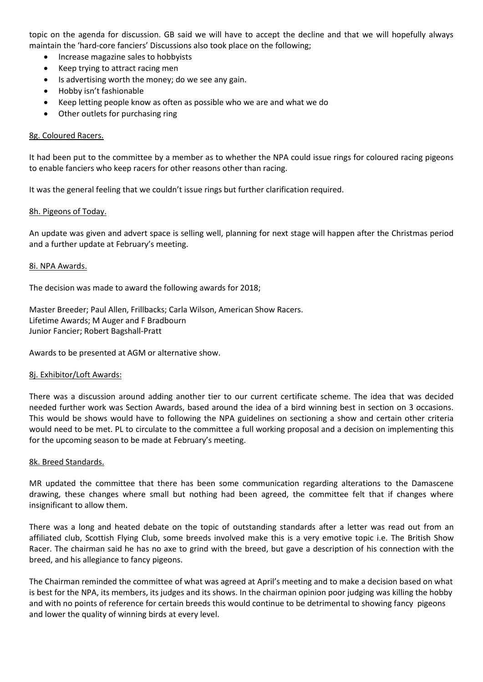topic on the agenda for discussion. GB said we will have to accept the decline and that we will hopefully always maintain the 'hard-core fanciers' Discussions also took place on the following;

- Increase magazine sales to hobbyists
- Keep trying to attract racing men
- Is advertising worth the money; do we see any gain.
- Hobby isn't fashionable
- Keep letting people know as often as possible who we are and what we do
- Other outlets for purchasing ring

### 8g. Coloured Racers.

It had been put to the committee by a member as to whether the NPA could issue rings for coloured racing pigeons to enable fanciers who keep racers for other reasons other than racing.

It was the general feeling that we couldn't issue rings but further clarification required.

### 8h. Pigeons of Today.

An update was given and advert space is selling well, planning for next stage will happen after the Christmas period and a further update at February's meeting.

#### 8i. NPA Awards.

The decision was made to award the following awards for 2018;

Master Breeder; Paul Allen, Frillbacks; Carla Wilson, American Show Racers. Lifetime Awards; M Auger and F Bradbourn Junior Fancier; Robert Bagshall-Pratt

Awards to be presented at AGM or alternative show.

#### 8j. Exhibitor/Loft Awards:

There was a discussion around adding another tier to our current certificate scheme. The idea that was decided needed further work was Section Awards, based around the idea of a bird winning best in section on 3 occasions. This would be shows would have to following the NPA guidelines on sectioning a show and certain other criteria would need to be met. PL to circulate to the committee a full working proposal and a decision on implementing this for the upcoming season to be made at February's meeting.

#### 8k. Breed Standards.

MR updated the committee that there has been some communication regarding alterations to the Damascene drawing, these changes where small but nothing had been agreed, the committee felt that if changes where insignificant to allow them.

There was a long and heated debate on the topic of outstanding standards after a letter was read out from an affiliated club, Scottish Flying Club, some breeds involved make this is a very emotive topic i.e. The British Show Racer. The chairman said he has no axe to grind with the breed, but gave a description of his connection with the breed, and his allegiance to fancy pigeons.

The Chairman reminded the committee of what was agreed at April's meeting and to make a decision based on what is best for the NPA, its members, its judges and its shows. In the chairman opinion poor judging was killing the hobby and with no points of reference for certain breeds this would continue to be detrimental to showing fancy pigeons and lower the quality of winning birds at every level.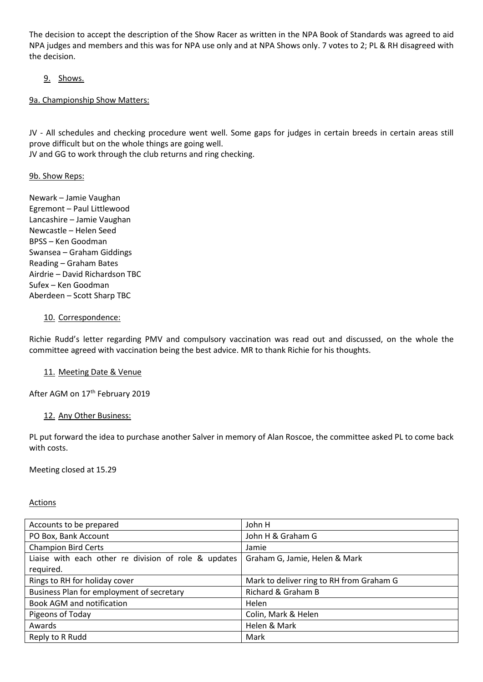The decision to accept the description of the Show Racer as written in the NPA Book of Standards was agreed to aid NPA judges and members and this was for NPA use only and at NPA Shows only. 7 votes to 2; PL & RH disagreed with the decision.

# 9. Shows.

## 9a. Championship Show Matters:

JV - All schedules and checking procedure went well. Some gaps for judges in certain breeds in certain areas still prove difficult but on the whole things are going well.

JV and GG to work through the club returns and ring checking.

## 9b. Show Reps:

Newark – Jamie Vaughan Egremont – Paul Littlewood Lancashire – Jamie Vaughan Newcastle – Helen Seed BPSS – Ken Goodman Swansea – Graham Giddings Reading – Graham Bates Airdrie – David Richardson TBC Sufex – Ken Goodman Aberdeen – Scott Sharp TBC

## 10. Correspondence:

Richie Rudd's letter regarding PMV and compulsory vaccination was read out and discussed, on the whole the committee agreed with vaccination being the best advice. MR to thank Richie for his thoughts.

## 11. Meeting Date & Venue

After AGM on 17<sup>th</sup> February 2019

## 12. Any Other Business:

PL put forward the idea to purchase another Salver in memory of Alan Roscoe, the committee asked PL to come back with costs.

## Meeting closed at 15.29

## Actions

| Accounts to be prepared                              | John H                                   |
|------------------------------------------------------|------------------------------------------|
| PO Box, Bank Account                                 | John H & Graham G                        |
| <b>Champion Bird Certs</b>                           | Jamie                                    |
| Liaise with each other re division of role & updates | Graham G, Jamie, Helen & Mark            |
| required.                                            |                                          |
| Rings to RH for holiday cover                        | Mark to deliver ring to RH from Graham G |
| Business Plan for employment of secretary            | Richard & Graham B                       |
| Book AGM and notification                            | Helen                                    |
| Pigeons of Today                                     | Colin, Mark & Helen                      |
| Awards                                               | Helen & Mark                             |
| Reply to R Rudd                                      | Mark                                     |